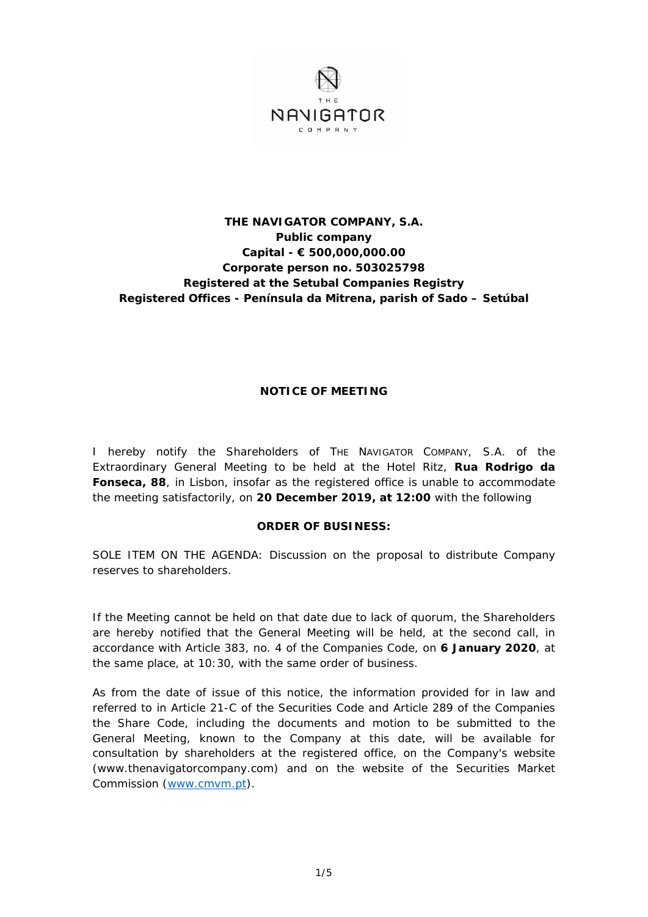

## **THE NAVIGATOR COMPANY, S.A. Public company Capital - € 500,000,000.00 Corporate person no. 503025798 Registered at the Setubal Companies Registry Registered Offices - Península da Mitrena, parish of Sado – Setúbal**

## **NOTICE OF MEETING**

I hereby notify the Shareholders of THE NAVIGATOR COMPANY, S.A. of the Extraordinary General Meeting to be held at the Hotel Ritz, **Rua Rodrigo da Fonseca, 88**, in Lisbon, insofar as the registered office is unable to accommodate the meeting satisfactorily, on **20 December 2019, at 12:00** with the following

## **ORDER OF BUSINESS:**

SOLE ITEM ON THE AGENDA: Discussion on the proposal to distribute Company reserves to shareholders.

If the Meeting cannot be held on that date due to lack of quorum, the Shareholders are hereby notified that the General Meeting will be held, at the second call, in accordance with Article 383, no. 4 of the Companies Code, on **6 January 2020**, at the same place, at 10:30, with the same order of business.

As from the date of issue of this notice, the information provided for in law and referred to in Article 21-C of the Securities Code and Article 289 of the Companies the Share Code, including the documents and motion to be submitted to the General Meeting, known to the Company at this date, will be available for consultation by shareholders at the registered office, on the Company's website (www.thenavigatorcompany.com) and on the website of the Securities Market Commission (www.cmvm.pt).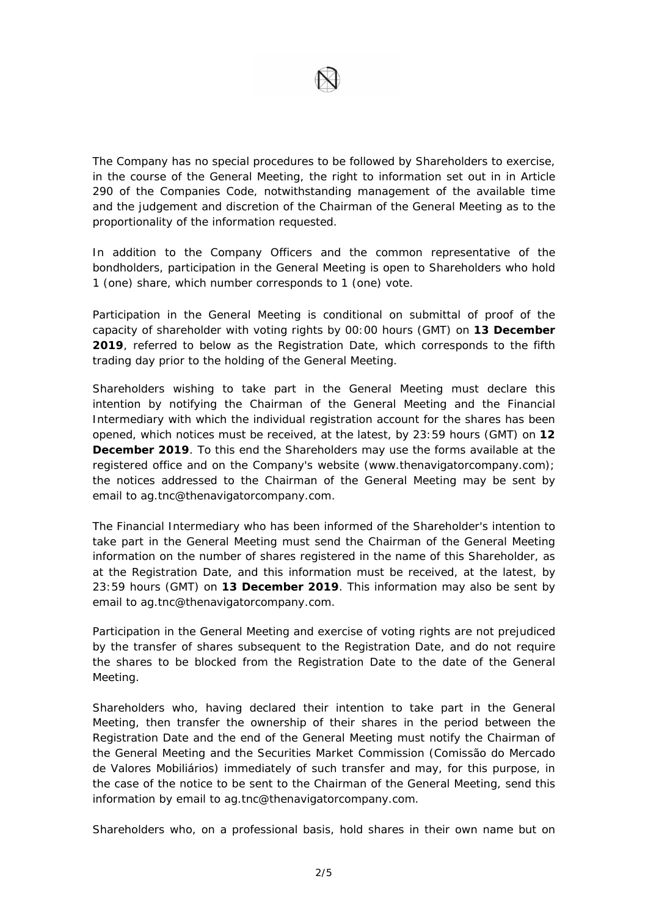

The Company has no special procedures to be followed by Shareholders to exercise, in the course of the General Meeting, the right to information set out in in Article 290 of the Companies Code, notwithstanding management of the available time and the judgement and discretion of the Chairman of the General Meeting as to the proportionality of the information requested.

In addition to the Company Officers and the common representative of the bondholders, participation in the General Meeting is open to Shareholders who hold 1 (one) share, which number corresponds to 1 (one) vote.

Participation in the General Meeting is conditional on submittal of proof of the capacity of shareholder with voting rights by 00:00 hours (GMT) on **13 December 2019**, referred to below as the Registration Date, which corresponds to the fifth trading day prior to the holding of the General Meeting.

Shareholders wishing to take part in the General Meeting must declare this intention by notifying the Chairman of the General Meeting and the Financial Intermediary with which the individual registration account for the shares has been opened, which notices must be received, at the latest, by 23:59 hours (GMT) on **12 December 2019**. To this end the Shareholders may use the forms available at the registered office and on the Company's website (www.thenavigatorcompany.com); the notices addressed to the Chairman of the General Meeting may be sent by email to ag.tnc@thenavigatorcompany.com.

The Financial Intermediary who has been informed of the Shareholder's intention to take part in the General Meeting must send the Chairman of the General Meeting information on the number of shares registered in the name of this Shareholder, as at the Registration Date, and this information must be received, at the latest, by 23:59 hours (GMT) on **13 December 2019**. This information may also be sent by email to ag.tnc@thenavigatorcompany.com.

Participation in the General Meeting and exercise of voting rights are not prejudiced by the transfer of shares subsequent to the Registration Date, and do not require the shares to be blocked from the Registration Date to the date of the General Meeting.

Shareholders who, having declared their intention to take part in the General Meeting, then transfer the ownership of their shares in the period between the Registration Date and the end of the General Meeting must notify the Chairman of the General Meeting and the Securities Market Commission (Comissão do Mercado de Valores Mobiliários) immediately of such transfer and may, for this purpose, in the case of the notice to be sent to the Chairman of the General Meeting, send this information by email to ag.tnc@thenavigatorcompany.com.

Shareholders who, on a professional basis, hold shares in their own name but on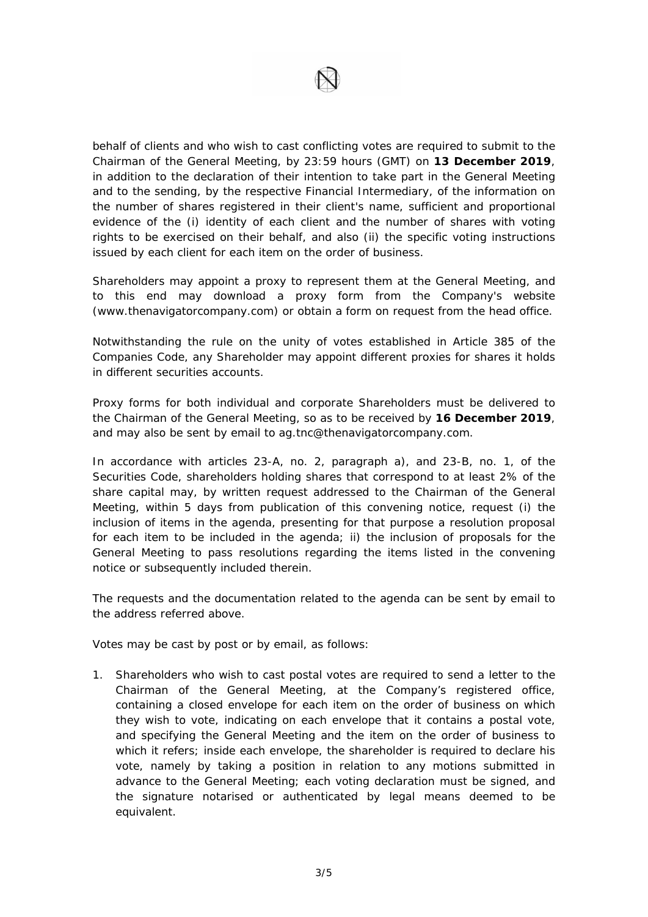

behalf of clients and who wish to cast conflicting votes are required to submit to the Chairman of the General Meeting, by 23:59 hours (GMT) on **13 December 2019**, in addition to the declaration of their intention to take part in the General Meeting and to the sending, by the respective Financial Intermediary, of the information on the number of shares registered in their client's name, sufficient and proportional evidence of the (i) identity of each client and the number of shares with voting rights to be exercised on their behalf, and also (ii) the specific voting instructions issued by each client for each item on the order of business.

Shareholders may appoint a proxy to represent them at the General Meeting, and to this end may download a proxy form from the Company's website (www.thenavigatorcompany.com) or obtain a form on request from the head office.

Notwithstanding the rule on the unity of votes established in Article 385 of the Companies Code, any Shareholder may appoint different proxies for shares it holds in different securities accounts.

Proxy forms for both individual and corporate Shareholders must be delivered to the Chairman of the General Meeting, so as to be received by **16 December 2019**, and may also be sent by email to ag.tnc@thenavigatorcompany.com.

In accordance with articles 23-A, no. 2, paragraph a), and 23-B, no. 1, of the Securities Code, shareholders holding shares that correspond to at least 2% of the share capital may, by written request addressed to the Chairman of the General Meeting, within 5 days from publication of this convening notice, request (i) the inclusion of items in the agenda, presenting for that purpose a resolution proposal for each item to be included in the agenda; ii) the inclusion of proposals for the General Meeting to pass resolutions regarding the items listed in the convening notice or subsequently included therein.

The requests and the documentation related to the agenda can be sent by email to the address referred above.

Votes may be cast by post or by email, as follows:

1. Shareholders who wish to cast postal votes are required to send a letter to the Chairman of the General Meeting, at the Company's registered office, containing a closed envelope for each item on the order of business on which they wish to vote, indicating on each envelope that it contains a postal vote, and specifying the General Meeting and the item on the order of business to which it refers; inside each envelope, the shareholder is required to declare his vote, namely by taking a position in relation to any motions submitted in advance to the General Meeting; each voting declaration must be signed, and the signature notarised or authenticated by legal means deemed to be equivalent.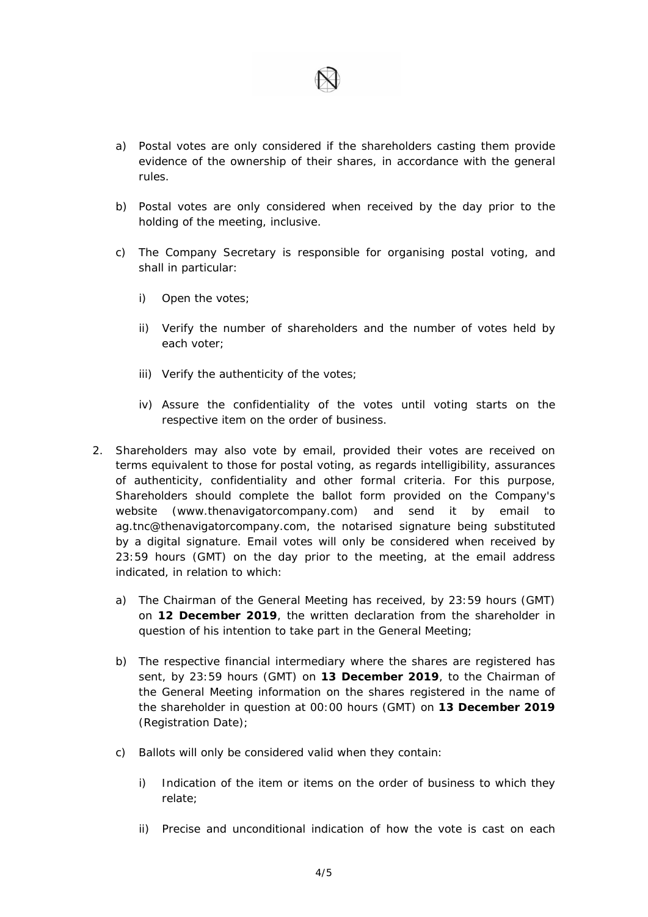- a) Postal votes are only considered if the shareholders casting them provide evidence of the ownership of their shares, in accordance with the general rules.
- b) Postal votes are only considered when received by the day prior to the holding of the meeting, inclusive.
- c) The Company Secretary is responsible for organising postal voting, and shall in particular:
	- i) Open the votes;
	- ii) Verify the number of shareholders and the number of votes held by each voter;
	- iii) Verify the authenticity of the votes;
	- iv) Assure the confidentiality of the votes until voting starts on the respective item on the order of business.
- 2. Shareholders may also vote by email, provided their votes are received on terms equivalent to those for postal voting, as regards intelligibility, assurances of authenticity, confidentiality and other formal criteria. For this purpose, Shareholders should complete the ballot form provided on the Company's website (www.thenavigatorcompany.com) and send it by email to ag.tnc@thenavigatorcompany.com, the notarised signature being substituted by a digital signature. Email votes will only be considered when received by 23:59 hours (GMT) on the day prior to the meeting, at the email address indicated, in relation to which:
	- a) The Chairman of the General Meeting has received, by 23:59 hours (GMT) on **12 December 2019**, the written declaration from the shareholder in question of his intention to take part in the General Meeting;
	- b) The respective financial intermediary where the shares are registered has sent, by 23:59 hours (GMT) on **13 December 2019**, to the Chairman of the General Meeting information on the shares registered in the name of the shareholder in question at 00:00 hours (GMT) on **13 December 2019** (Registration Date);
	- c) Ballots will only be considered valid when they contain:
		- i) Indication of the item or items on the order of business to which they relate;
		- ii) Precise and unconditional indication of how the vote is cast on each